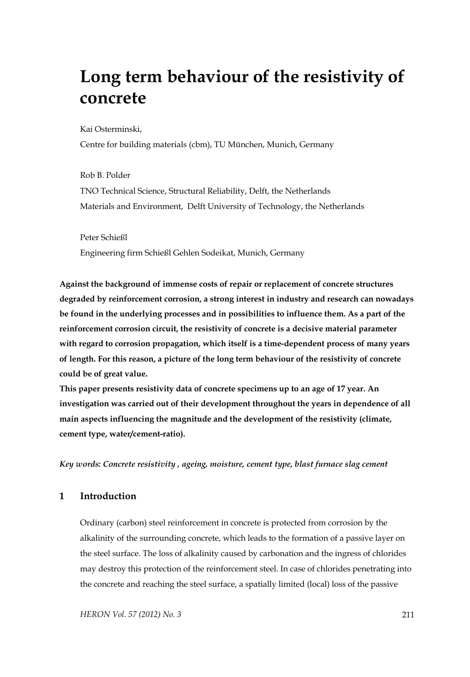# **Long term behaviour of the resistivity of concrete**

Kai Osterminski,

Centre for building materials (cbm), TU München, Munich, Germany

Rob B. Polder TNO Technical Science, Structural Reliability, Delft, the Netherlands Materials and Environment, Delft University of Technology, the Netherlands

Peter Schießl Engineering firm Schießl Gehlen Sodeikat, Munich, Germany

**Against the background of immense costs of repair or replacement of concrete structures degraded by reinforcement corrosion, a strong interest in industry and research can nowadays be found in the underlying processes and in possibilities to influence them. As a part of the reinforcement corrosion circuit, the resistivity of concrete is a decisive material parameter with regard to corrosion propagation, which itself is a time-dependent process of many years of length. For this reason, a picture of the long term behaviour of the resistivity of concrete could be of great value.** 

**This paper presents resistivity data of concrete specimens up to an age of 17 year. An investigation was carried out of their development throughout the years in dependence of all main aspects influencing the magnitude and the development of the resistivity (climate, cement type, water/cement-ratio).** 

*Key words: Concrete resistivity , ageing, moisture, cement type, blast furnace slag cement* 

## **1 Introduction**

Ordinary (carbon) steel reinforcement in concrete is protected from corrosion by the alkalinity of the surrounding concrete, which leads to the formation of a passive layer on the steel surface. The loss of alkalinity caused by carbonation and the ingress of chlorides may destroy this protection of the reinforcement steel. In case of chlorides penetrating into the concrete and reaching the steel surface, a spatially limited (local) loss of the passive

*HERON Vol. 57 (2012) No. 3* 211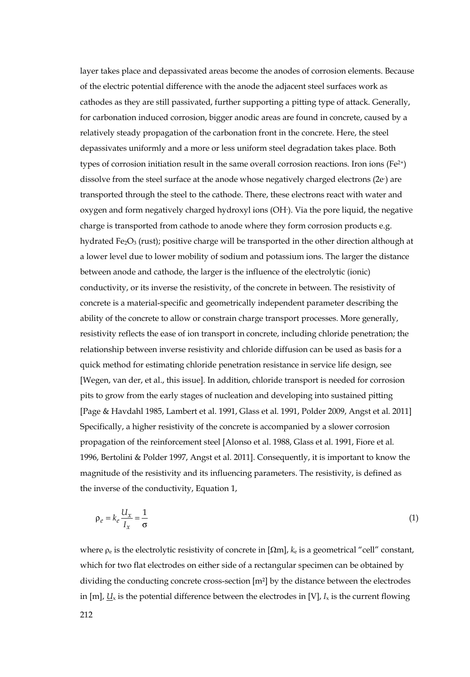layer takes place and depassivated areas become the anodes of corrosion elements. Because of the electric potential difference with the anode the adjacent steel surfaces work as cathodes as they are still passivated, further supporting a pitting type of attack. Generally, for carbonation induced corrosion, bigger anodic areas are found in concrete, caused by a relatively steady propagation of the carbonation front in the concrete. Here, the steel depassivates uniformly and a more or less uniform steel degradation takes place. Both types of corrosion initiation result in the same overall corrosion reactions. Iron ions  $(Fe^{2+})$ dissolve from the steel surface at the anode whose negatively charged electrons (2e- ) are transported through the steel to the cathode. There, these electrons react with water and oxygen and form negatively charged hydroxyl ions (OH- ). Via the pore liquid, the negative charge is transported from cathode to anode where they form corrosion products e.g. hydrated Fe<sub>2</sub>O<sub>3</sub> (rust); positive charge will be transported in the other direction although at a lower level due to lower mobility of sodium and potassium ions. The larger the distance between anode and cathode, the larger is the influence of the electrolytic (ionic) conductivity, or its inverse the resistivity, of the concrete in between. The resistivity of concrete is a material-specific and geometrically independent parameter describing the ability of the concrete to allow or constrain charge transport processes. More generally, resistivity reflects the ease of ion transport in concrete, including chloride penetration; the relationship between inverse resistivity and chloride diffusion can be used as basis for a quick method for estimating chloride penetration resistance in service life design, see [Wegen, van der, et al., this issue]. In addition, chloride transport is needed for corrosion pits to grow from the early stages of nucleation and developing into sustained pitting [Page & Havdahl 1985, Lambert et al. 1991, Glass et al. 1991, Polder 2009, Angst et al. 2011] Specifically, a higher resistivity of the concrete is accompanied by a slower corrosion propagation of the reinforcement steel [Alonso et al. 1988, Glass et al. 1991, Fiore et al. 1996, Bertolini & Polder 1997, Angst et al. 2011]. Consequently, it is important to know the magnitude of the resistivity and its influencing parameters. The resistivity, is defined as the inverse of the conductivity, Equation 1,

$$
\rho_e = k_e \frac{U_x}{I_x} = \frac{1}{\sigma} \tag{1}
$$

212 where  $\rho_e$  is the electrolytic resistivity of concrete in  $[\Omega_m]$ ,  $k_e$  is a geometrical "cell" constant, which for two flat electrodes on either side of a rectangular specimen can be obtained by dividing the conducting concrete cross-section [m²] by the distance between the electrodes in  $[m]$ ,  $U_x$  is the potential difference between the electrodes in [V],  $I_x$  is the current flowing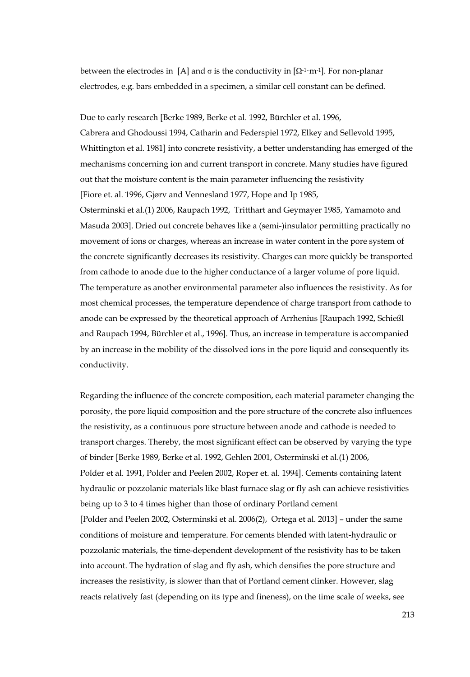between the electrodes in [A] and  $\sigma$  is the conductivity in [ $\Omega^{-1}$ ·m<sup>-1</sup>]. For non-planar electrodes, e.g. bars embedded in a specimen, a similar cell constant can be defined.

Due to early research [Berke 1989, Berke et al. 1992, Bürchler et al. 1996,

Cabrera and Ghodoussi 1994, Catharin and Federspiel 1972, Elkey and Sellevold 1995, Whittington et al. 1981] into concrete resistivity, a better understanding has emerged of the mechanisms concerning ion and current transport in concrete. Many studies have figured out that the moisture content is the main parameter influencing the resistivity [Fiore et. al. 1996, Gjørv and Vennesland 1977, Hope and Ip 1985,

Osterminski et al.(1) 2006, Raupach 1992, Tritthart and Geymayer 1985, Yamamoto and Masuda 2003]. Dried out concrete behaves like a (semi-)insulator permitting practically no movement of ions or charges, whereas an increase in water content in the pore system of the concrete significantly decreases its resistivity. Charges can more quickly be transported from cathode to anode due to the higher conductance of a larger volume of pore liquid. The temperature as another environmental parameter also influences the resistivity. As for most chemical processes, the temperature dependence of charge transport from cathode to anode can be expressed by the theoretical approach of Arrhenius [Raupach 1992, Schießl and Raupach 1994, Bürchler et al., 1996]. Thus, an increase in temperature is accompanied by an increase in the mobility of the dissolved ions in the pore liquid and consequently its conductivity.

Regarding the influence of the concrete composition, each material parameter changing the porosity, the pore liquid composition and the pore structure of the concrete also influences the resistivity, as a continuous pore structure between anode and cathode is needed to transport charges. Thereby, the most significant effect can be observed by varying the type of binder [Berke 1989, Berke et al. 1992, Gehlen 2001, Osterminski et al.(1) 2006, Polder et al. 1991, Polder and Peelen 2002, Roper et. al. 1994]. Cements containing latent hydraulic or pozzolanic materials like blast furnace slag or fly ash can achieve resistivities being up to 3 to 4 times higher than those of ordinary Portland cement [Polder and Peelen 2002, Osterminski et al. 2006(2), Ortega et al. 2013] – under the same conditions of moisture and temperature. For cements blended with latent-hydraulic or pozzolanic materials, the time-dependent development of the resistivity has to be taken into account. The hydration of slag and fly ash, which densifies the pore structure and increases the resistivity, is slower than that of Portland cement clinker. However, slag reacts relatively fast (depending on its type and fineness), on the time scale of weeks, see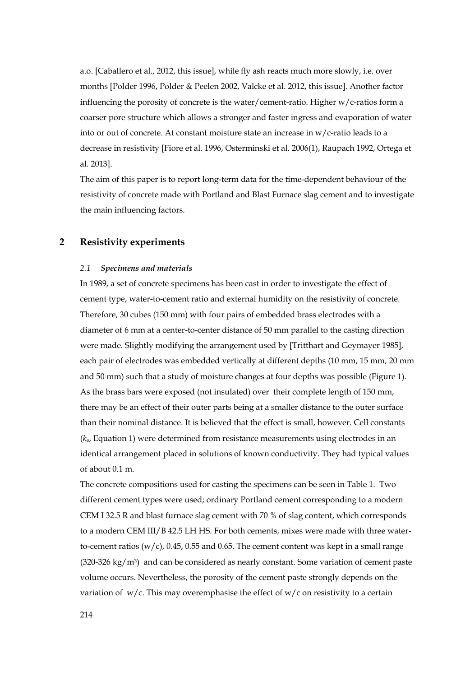a.o. [Caballero et al., 2012, this issue], while fly ash reacts much more slowly, i.e. over months [Polder 1996, Polder & Peelen 2002, Valcke et al. 2012, this issue]. Another factor influencing the porosity of concrete is the water/cement-ratio. Higher w/c-ratios form a coarser pore structure which allows a stronger and faster ingress and evaporation of water into or out of concrete. At constant moisture state an increase in w/c-ratio leads to a decrease in resistivity [Fiore et al. 1996, Osterminski et al. 2006(1), Raupach 1992, Ortega et al. 2013].

The aim of this paper is to report long-term data for the time-dependent behaviour of the resistivity of concrete made with Portland and Blast Furnace slag cement and to investigate the main influencing factors.

### **2 Resistivity experiments**

#### *2.1 Specimens and materials*

In 1989, a set of concrete specimens has been cast in order to investigate the effect of cement type, water-to-cement ratio and external humidity on the resistivity of concrete. Therefore, 30 cubes (150 mm) with four pairs of embedded brass electrodes with a diameter of 6 mm at a center-to-center distance of 50 mm parallel to the casting direction were made. Slightly modifying the arrangement used by [Tritthart and Geymayer 1985], each pair of electrodes was embedded vertically at different depths (10 mm, 15 mm, 20 mm and 50 mm) such that a study of moisture changes at four depths was possible (Figure 1). As the brass bars were exposed (not insulated) over their complete length of 150 mm, there may be an effect of their outer parts being at a smaller distance to the outer surface than their nominal distance. It is believed that the effect is small, however. Cell constants (*k*e, Equation 1) were determined from resistance measurements using electrodes in an identical arrangement placed in solutions of known conductivity. They had typical values of about 0.1 m.

The concrete compositions used for casting the specimens can be seen in Table 1. Two different cement types were used; ordinary Portland cement corresponding to a modern CEM I 32.5 R and blast furnace slag cement with 70 % of slag content, which corresponds to a modern CEM III/B 42.5 LH HS. For both cements, mixes were made with three waterto-cement ratios ( $w/c$ ), 0.45, 0.55 and 0.65. The cement content was kept in a small range  $(320-326 \text{ kg/m}^3)$  and can be considered as nearly constant. Some variation of cement paste volume occurs. Nevertheless, the porosity of the cement paste strongly depends on the variation of  $w/c$ . This may overemphasise the effect of  $w/c$  on resistivity to a certain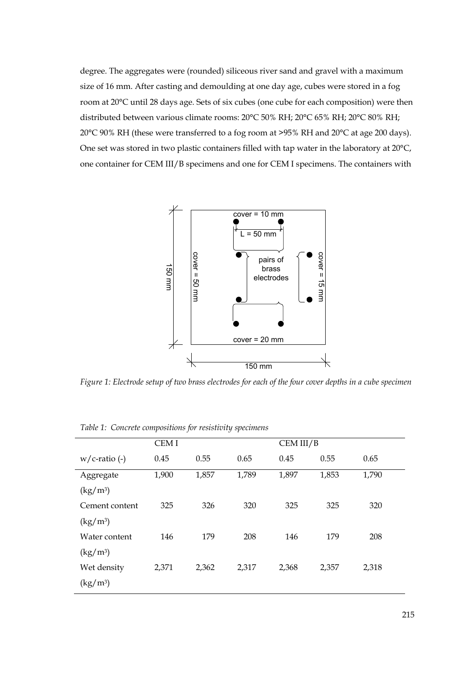degree. The aggregates were (rounded) siliceous river sand and gravel with a maximum size of 16 mm. After casting and demoulding at one day age, cubes were stored in a fog room at 20°C until 28 days age. Sets of six cubes (one cube for each composition) were then distributed between various climate rooms: 20°C 50% RH; 20°C 65% RH; 20°C 80% RH; 20°C 90% RH (these were transferred to a fog room at >95% RH and 20°C at age 200 days). One set was stored in two plastic containers filled with tap water in the laboratory at 20°C, one container for CEM III/B specimens and one for CEM I specimens. The containers with



*Figure 1: Electrode setup of two brass electrodes for each of the four cover depths in a cube specimen* 

|                                             | CEM I |       |       |       | CEM III/B |       |  |  |
|---------------------------------------------|-------|-------|-------|-------|-----------|-------|--|--|
| $w/c$ -ratio $(-)$                          | 0.45  | 0.55  | 0.65  | 0.45  | 0.55      | 0.65  |  |  |
| Aggregate                                   | 1,900 | 1,857 | 1,789 | 1,897 | 1,853     | 1,790 |  |  |
| $\left(\frac{\text{kg}}{\text{m}^3}\right)$ |       |       |       |       |           |       |  |  |
| Cement content                              | 325   | 326   | 320   | 325   | 325       | 320   |  |  |
| $\left(\frac{\text{kg}}{\text{m}^3}\right)$ |       |       |       |       |           |       |  |  |
| Water content                               | 146   | 179   | 208   | 146   | 179       | 208   |  |  |
| $\left(\frac{\text{kg}}{\text{m}^3}\right)$ |       |       |       |       |           |       |  |  |
| Wet density                                 | 2,371 | 2,362 | 2,317 | 2,368 | 2,357     | 2,318 |  |  |
| $\left(\frac{\text{kg}}{\text{m}^3}\right)$ |       |       |       |       |           |       |  |  |

*Table 1: Concrete compositions for resistivity specimens*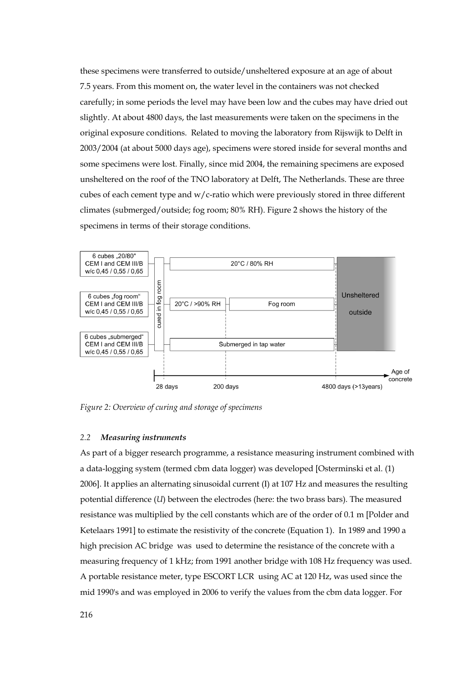these specimens were transferred to outside/unsheltered exposure at an age of about 7.5 years. From this moment on, the water level in the containers was not checked carefully; in some periods the level may have been low and the cubes may have dried out slightly. At about 4800 days, the last measurements were taken on the specimens in the original exposure conditions. Related to moving the laboratory from Rijswijk to Delft in 2003/2004 (at about 5000 days age), specimens were stored inside for several months and some specimens were lost. Finally, since mid 2004, the remaining specimens are exposed unsheltered on the roof of the TNO laboratory at Delft, The Netherlands. These are three cubes of each cement type and w/c-ratio which were previously stored in three different climates (submerged/outside; fog room; 80% RH). Figure 2 shows the history of the specimens in terms of their storage conditions.



*Figure 2: Overview of curing and storage of specimens* 

#### *2.2 Measuring instruments*

As part of a bigger research programme, a resistance measuring instrument combined with a data-logging system (termed cbm data logger) was developed [Osterminski et al. (1) 2006]. It applies an alternating sinusoidal current (I) at 107 Hz and measures the resulting potential difference (*U*) between the electrodes (here: the two brass bars). The measured resistance was multiplied by the cell constants which are of the order of 0.1 m [Polder and Ketelaars 1991] to estimate the resistivity of the concrete (Equation 1). In 1989 and 1990 a high precision AC bridge was used to determine the resistance of the concrete with a measuring frequency of 1 kHz; from 1991 another bridge with 108 Hz frequency was used. A portable resistance meter, type ESCORT LCR using AC at 120 Hz, was used since the mid 1990's and was employed in 2006 to verify the values from the cbm data logger. For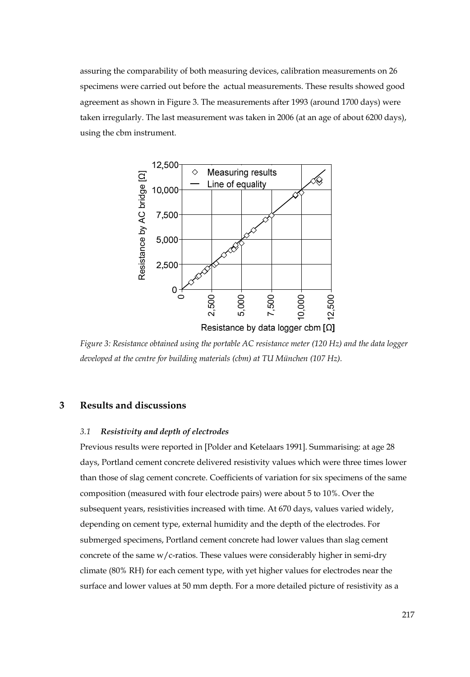assuring the comparability of both measuring devices, calibration measurements on 26 specimens were carried out before the actual measurements. These results showed good agreement as shown in Figure 3. The measurements after 1993 (around 1700 days) were taken irregularly. The last measurement was taken in 2006 (at an age of about 6200 days), using the cbm instrument.



*Figure 3: Resistance obtained using the portable AC resistance meter (120 Hz) and the data logger developed at the centre for building materials (cbm) at TU München (107 Hz).* 

## **3 Results and discussions**

## *3.1 Resistivity and depth of electrodes*

Previous results were reported in [Polder and Ketelaars 1991]. Summarising: at age 28 days, Portland cement concrete delivered resistivity values which were three times lower than those of slag cement concrete. Coefficients of variation for six specimens of the same composition (measured with four electrode pairs) were about 5 to 10%. Over the subsequent years, resistivities increased with time. At 670 days, values varied widely, depending on cement type, external humidity and the depth of the electrodes. For submerged specimens, Portland cement concrete had lower values than slag cement concrete of the same w/c-ratios. These values were considerably higher in semi-dry climate (80% RH) for each cement type, with yet higher values for electrodes near the surface and lower values at 50 mm depth. For a more detailed picture of resistivity as a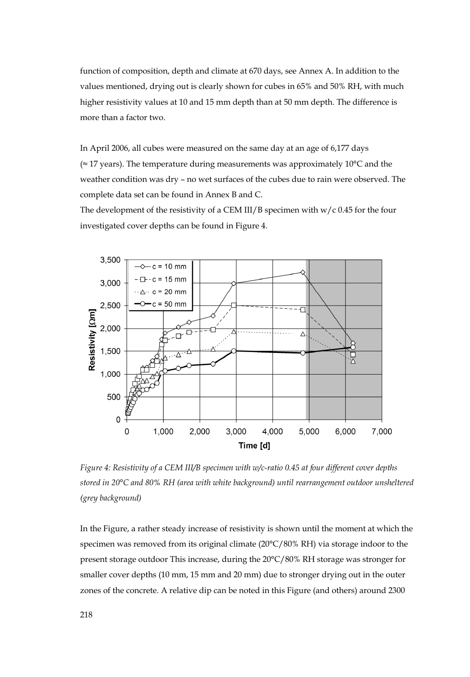function of composition, depth and climate at 670 days, see Annex A. In addition to the values mentioned, drying out is clearly shown for cubes in 65% and 50% RH, with much higher resistivity values at 10 and 15 mm depth than at 50 mm depth. The difference is more than a factor two.

In April 2006, all cubes were measured on the same day at an age of 6,177 days (≈ 17 years). The temperature during measurements was approximately 10°C and the weather condition was dry – no wet surfaces of the cubes due to rain were observed. The complete data set can be found in Annex B and C.

The development of the resistivity of a CEM III/B specimen with  $w/c$  0.45 for the four investigated cover depths can be found in Figure 4.



*Figure 4: Resistivity of a CEM III/B specimen with w/c-ratio 0.45 at four different cover depths stored in 20°C and 80% RH (area with white background) until rearrangement outdoor unsheltered (grey background)* 

In the Figure, a rather steady increase of resistivity is shown until the moment at which the specimen was removed from its original climate (20°C/80% RH) via storage indoor to the present storage outdoor This increase, during the 20°C/80% RH storage was stronger for smaller cover depths (10 mm, 15 mm and 20 mm) due to stronger drying out in the outer zones of the concrete. A relative dip can be noted in this Figure (and others) around 2300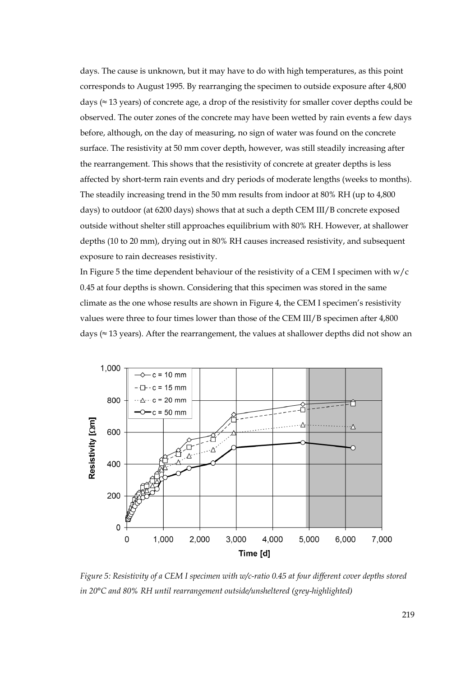days. The cause is unknown, but it may have to do with high temperatures, as this point corresponds to August 1995. By rearranging the specimen to outside exposure after 4,800 days ( $\approx$  13 years) of concrete age, a drop of the resistivity for smaller cover depths could be observed. The outer zones of the concrete may have been wetted by rain events a few days before, although, on the day of measuring, no sign of water was found on the concrete surface. The resistivity at 50 mm cover depth, however, was still steadily increasing after the rearrangement. This shows that the resistivity of concrete at greater depths is less affected by short-term rain events and dry periods of moderate lengths (weeks to months). The steadily increasing trend in the 50 mm results from indoor at 80% RH (up to 4,800 days) to outdoor (at 6200 days) shows that at such a depth CEM III/B concrete exposed outside without shelter still approaches equilibrium with 80% RH. However, at shallower depths (10 to 20 mm), drying out in 80% RH causes increased resistivity, and subsequent exposure to rain decreases resistivity.

In Figure 5 the time dependent behaviour of the resistivity of a CEM I specimen with  $w/c$ 0.45 at four depths is shown. Considering that this specimen was stored in the same climate as the one whose results are shown in Figure 4, the CEM I specimen's resistivity values were three to four times lower than those of the CEM III/B specimen after 4,800 days ( $\approx$  13 years). After the rearrangement, the values at shallower depths did not show an



*Figure 5: Resistivity of a CEM I specimen with w/c-ratio 0.45 at four different cover depths stored in 20°C and 80% RH until rearrangement outside/unsheltered (grey-highlighted)*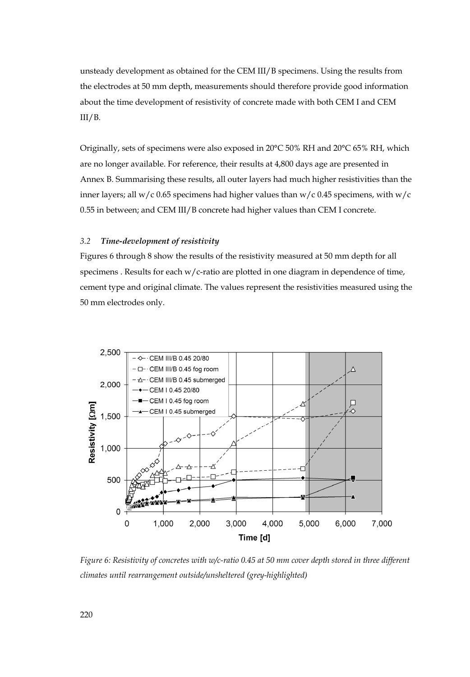unsteady development as obtained for the CEM III/B specimens. Using the results from the electrodes at 50 mm depth, measurements should therefore provide good information about the time development of resistivity of concrete made with both CEM I and CEM III/B.

Originally, sets of specimens were also exposed in 20°C 50% RH and 20°C 65% RH, which are no longer available. For reference, their results at 4,800 days age are presented in Annex B. Summarising these results, all outer layers had much higher resistivities than the inner layers; all w/c 0.65 specimens had higher values than w/c 0.45 specimens, with w/c 0.55 in between; and CEM III/B concrete had higher values than CEM I concrete.

#### *3.2 Time-development of resistivity*

Figures 6 through 8 show the results of the resistivity measured at 50 mm depth for all specimens . Results for each  $w/c$ -ratio are plotted in one diagram in dependence of time, cement type and original climate. The values represent the resistivities measured using the 50 mm electrodes only.



*Figure 6: Resistivity of concretes with w/c-ratio 0.45 at 50 mm cover depth stored in three different climates until rearrangement outside/unsheltered (grey-highlighted)*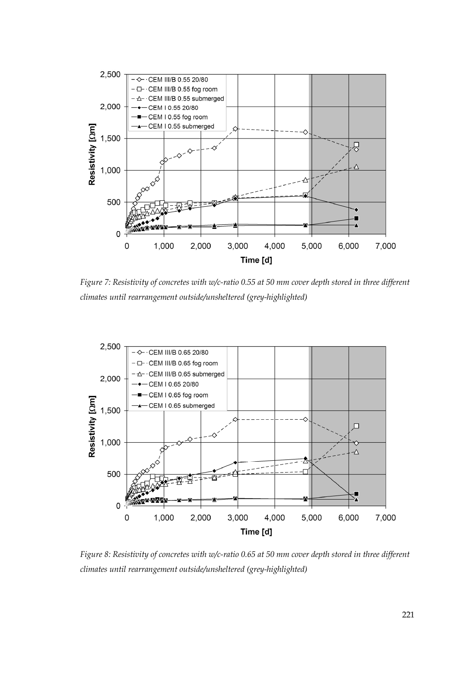

*Figure 7: Resistivity of concretes with w/c-ratio 0.55 at 50 mm cover depth stored in three different climates until rearrangement outside/unsheltered (grey-highlighted)* 



*Figure 8: Resistivity of concretes with w/c-ratio 0.65 at 50 mm cover depth stored in three different climates until rearrangement outside/unsheltered (grey-highlighted)*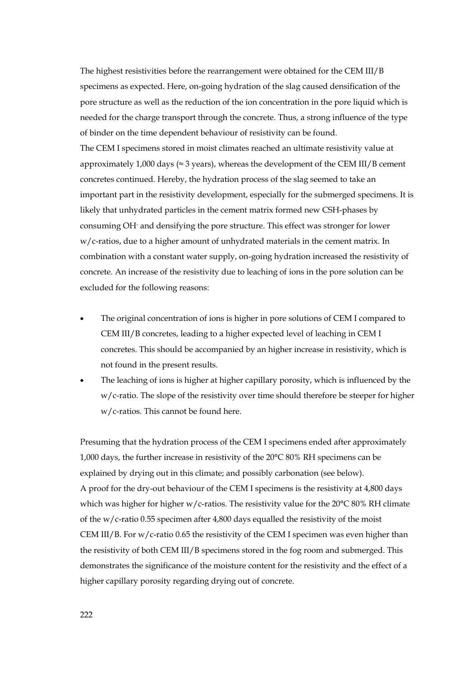The highest resistivities before the rearrangement were obtained for the CEM III/B specimens as expected. Here, on-going hydration of the slag caused densification of the pore structure as well as the reduction of the ion concentration in the pore liquid which is needed for the charge transport through the concrete. Thus, a strong influence of the type of binder on the time dependent behaviour of resistivity can be found. The CEM I specimens stored in moist climates reached an ultimate resistivity value at approximately 1,000 days ( $\approx$  3 years), whereas the development of the CEM III/B cement concretes continued. Hereby, the hydration process of the slag seemed to take an important part in the resistivity development, especially for the submerged specimens. It is likely that unhydrated particles in the cement matrix formed new CSH-phases by consuming OH- and densifying the pore structure. This effect was stronger for lower w/c-ratios, due to a higher amount of unhydrated materials in the cement matrix. In combination with a constant water supply, on-going hydration increased the resistivity of concrete. An increase of the resistivity due to leaching of ions in the pore solution can be excluded for the following reasons:

- The original concentration of ions is higher in pore solutions of CEM I compared to CEM III/B concretes, leading to a higher expected level of leaching in CEM I concretes. This should be accompanied by an higher increase in resistivity, which is not found in the present results.
- The leaching of ions is higher at higher capillary porosity, which is influenced by the w/c-ratio. The slope of the resistivity over time should therefore be steeper for higher w/c-ratios. This cannot be found here.

Presuming that the hydration process of the CEM I specimens ended after approximately 1,000 days, the further increase in resistivity of the 20°C 80% RH specimens can be explained by drying out in this climate; and possibly carbonation (see below). A proof for the dry-out behaviour of the CEM I specimens is the resistivity at 4,800 days which was higher for higher w/c-ratios. The resistivity value for the 20°C 80% RH climate of the w/c-ratio 0.55 specimen after 4,800 days equalled the resistivity of the moist CEM III/B. For w/c-ratio 0.65 the resistivity of the CEM I specimen was even higher than the resistivity of both CEM III/B specimens stored in the fog room and submerged. This demonstrates the significance of the moisture content for the resistivity and the effect of a higher capillary porosity regarding drying out of concrete.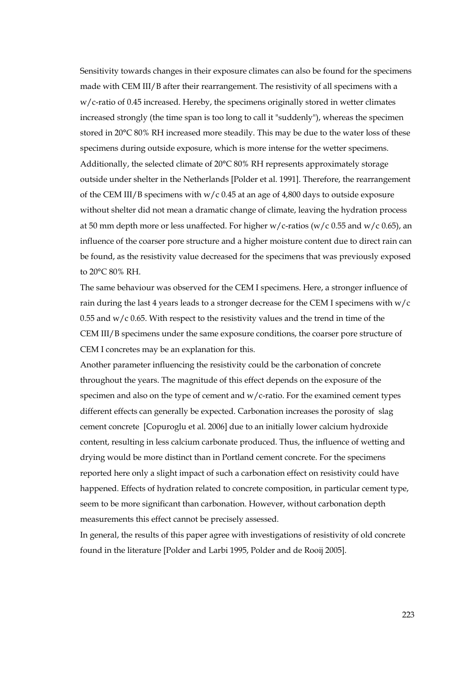Sensitivity towards changes in their exposure climates can also be found for the specimens made with CEM III/B after their rearrangement. The resistivity of all specimens with a  $w/c$ -ratio of 0.45 increased. Hereby, the specimens originally stored in wetter climates increased strongly (the time span is too long to call it "suddenly"), whereas the specimen stored in 20°C 80% RH increased more steadily. This may be due to the water loss of these specimens during outside exposure, which is more intense for the wetter specimens. Additionally, the selected climate of  $20^{\circ}$ C 80% RH represents approximately storage outside under shelter in the Netherlands [Polder et al. 1991]. Therefore, the rearrangement of the CEM III/B specimens with  $w/c$  0.45 at an age of 4,800 days to outside exposure without shelter did not mean a dramatic change of climate, leaving the hydration process at 50 mm depth more or less unaffected. For higher w/c-ratios (w/c 0.55 and w/c 0.65), an influence of the coarser pore structure and a higher moisture content due to direct rain can be found, as the resistivity value decreased for the specimens that was previously exposed to 20°C 80% RH.

The same behaviour was observed for the CEM I specimens. Here, a stronger influence of rain during the last 4 years leads to a stronger decrease for the CEM I specimens with w/c 0.55 and w/c 0.65. With respect to the resistivity values and the trend in time of the CEM III/B specimens under the same exposure conditions, the coarser pore structure of CEM I concretes may be an explanation for this.

Another parameter influencing the resistivity could be the carbonation of concrete throughout the years. The magnitude of this effect depends on the exposure of the specimen and also on the type of cement and  $w/c$ -ratio. For the examined cement types different effects can generally be expected. Carbonation increases the porosity of slag cement concrete [Copuroglu et al. 2006] due to an initially lower calcium hydroxide content, resulting in less calcium carbonate produced. Thus, the influence of wetting and drying would be more distinct than in Portland cement concrete. For the specimens reported here only a slight impact of such a carbonation effect on resistivity could have happened. Effects of hydration related to concrete composition, in particular cement type, seem to be more significant than carbonation. However, without carbonation depth measurements this effect cannot be precisely assessed.

In general, the results of this paper agree with investigations of resistivity of old concrete found in the literature [Polder and Larbi 1995, Polder and de Rooij 2005].

223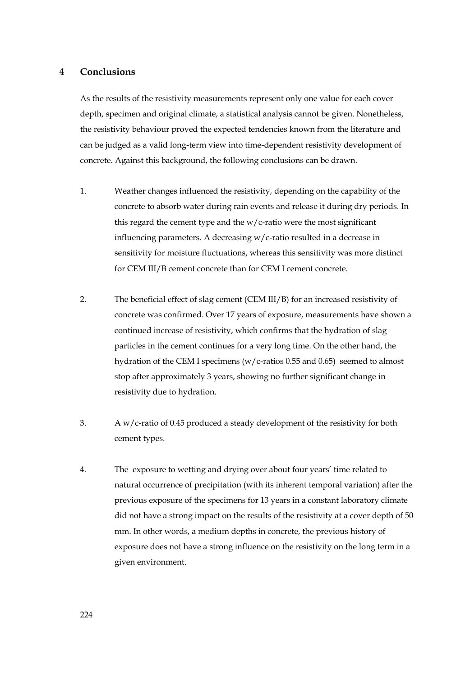## **4 Conclusions**

As the results of the resistivity measurements represent only one value for each cover depth, specimen and original climate, a statistical analysis cannot be given. Nonetheless, the resistivity behaviour proved the expected tendencies known from the literature and can be judged as a valid long-term view into time-dependent resistivity development of concrete. Against this background, the following conclusions can be drawn.

- 1. Weather changes influenced the resistivity, depending on the capability of the concrete to absorb water during rain events and release it during dry periods. In this regard the cement type and the w/c-ratio were the most significant influencing parameters. A decreasing w/c-ratio resulted in a decrease in sensitivity for moisture fluctuations, whereas this sensitivity was more distinct for CEM III/B cement concrete than for CEM I cement concrete.
- 2. The beneficial effect of slag cement (CEM III/B) for an increased resistivity of concrete was confirmed. Over 17 years of exposure, measurements have shown a continued increase of resistivity, which confirms that the hydration of slag particles in the cement continues for a very long time. On the other hand, the hydration of the CEM I specimens (w/c-ratios 0.55 and 0.65) seemed to almost stop after approximately 3 years, showing no further significant change in resistivity due to hydration.
- 3. A w/c-ratio of 0.45 produced a steady development of the resistivity for both cement types.
- 4. The exposure to wetting and drying over about four years' time related to natural occurrence of precipitation (with its inherent temporal variation) after the previous exposure of the specimens for 13 years in a constant laboratory climate did not have a strong impact on the results of the resistivity at a cover depth of 50 mm. In other words, a medium depths in concrete, the previous history of exposure does not have a strong influence on the resistivity on the long term in a given environment.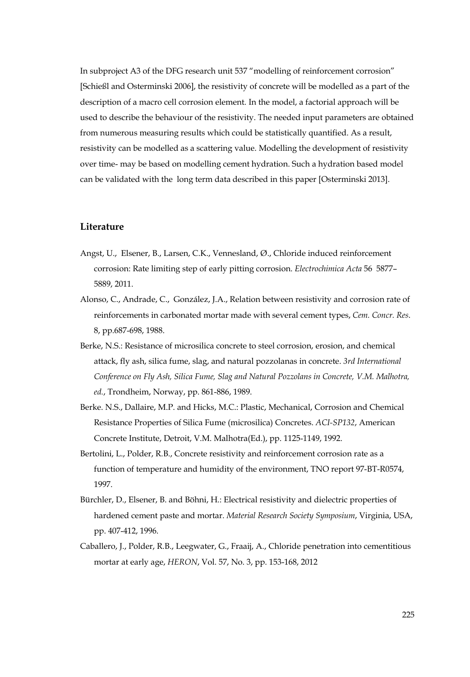In subproject A3 of the DFG research unit 537 "modelling of reinforcement corrosion" [Schießl and Osterminski 2006], the resistivity of concrete will be modelled as a part of the description of a macro cell corrosion element. In the model, a factorial approach will be used to describe the behaviour of the resistivity. The needed input parameters are obtained from numerous measuring results which could be statistically quantified. As a result, resistivity can be modelled as a scattering value. Modelling the development of resistivity over time- may be based on modelling cement hydration. Such a hydration based model can be validated with the long term data described in this paper [Osterminski 2013].

### **Literature**

- Angst, U., Elsener, B., Larsen, C.K., Vennesland, Ø., Chloride induced reinforcement corrosion: Rate limiting step of early pitting corrosion. *Electrochimica Acta* 56 5877– 5889, 2011.
- Alonso, C., Andrade, C., González, J.A., Relation between resistivity and corrosion rate of reinforcements in carbonated mortar made with several cement types, *Cem. Concr. Res*. 8, pp.687-698, 1988.
- Berke, N.S.: Resistance of microsilica concrete to steel corrosion, erosion, and chemical attack, fly ash, silica fume, slag, and natural pozzolanas in concrete. *3rd International Conference on Fly Ash, Silica Fume, Slag and Natural Pozzolans in Concrete, V.M. Malhotra, ed.*, Trondheim, Norway, pp. 861-886, 1989.
- Berke. N.S., Dallaire, M.P. and Hicks, M.C.: Plastic, Mechanical, Corrosion and Chemical Resistance Properties of Silica Fume (microsilica) Concretes. *ACI-SP132*, American Concrete Institute, Detroit, V.M. Malhotra(Ed.), pp. 1125-1149, 1992.
- Bertolini, L., Polder, R.B., Concrete resistivity and reinforcement corrosion rate as a function of temperature and humidity of the environment, TNO report 97-BT-R0574, 1997.
- Bürchler, D., Elsener, B. and Böhni, H.: Electrical resistivity and dielectric properties of hardened cement paste and mortar. *Material Research Society Symposium*, Virginia, USA, pp. 407-412, 1996.
- Caballero, J., Polder, R.B., Leegwater, G., Fraaij, A., Chloride penetration into cementitious mortar at early age, *HERON*, Vol. 57, No. 3, pp. 153-168, 2012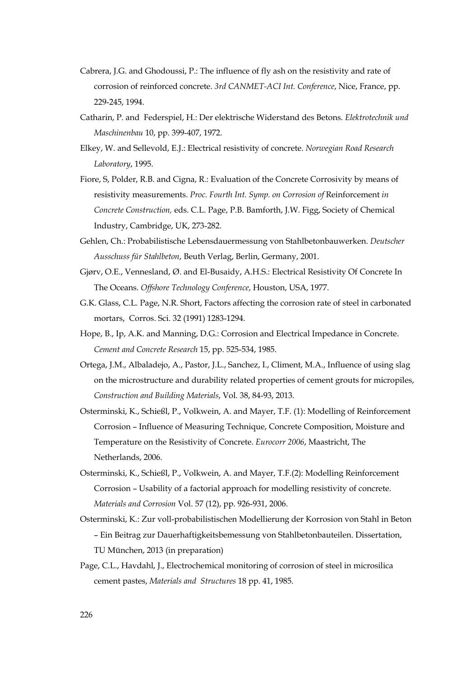- Cabrera, J.G. and Ghodoussi, P.: The influence of fly ash on the resistivity and rate of corrosion of reinforced concrete. *3rd CANMET-ACI Int. Conference*, Nice, France, pp. 229-245, 1994.
- Catharin, P. and Federspiel, H.: Der elektrische Widerstand des Betons. *Elektrotechnik und Maschinenbau* 10, pp. 399-407, 1972.
- Elkey, W. and Sellevold, E.J.: Electrical resistivity of concrete. *Norwegian Road Research Laboratory*, 1995.
- Fiore, S, Polder, R.B. and Cigna, R.: Evaluation of the Concrete Corrosivity by means of resistivity measurements. *Proc. Fourth Int. Symp. on Corrosion of* Reinforcement *in Concrete Construction,* eds. C.L. Page, P.B. Bamforth, J.W. Figg, Society of Chemical Industry, Cambridge, UK, 273-282.
- Gehlen, Ch.: Probabilistische Lebensdauermessung von Stahlbetonbauwerken. *Deutscher Ausschuss für Stahlbeton*, Beuth Verlag, Berlin, Germany, 2001.
- Gjørv, O.E., Vennesland, Ø. and El-Busaidy, A.H.S.: Electrical Resistivity Of Concrete In The Oceans. *Offshore Technology Conference*, Houston, USA, 1977.
- G.K. Glass, C.L. Page, N.R. Short, Factors affecting the corrosion rate of steel in carbonated mortars, Corros. Sci. 32 (1991) 1283-1294.
- Hope, B., Ip, A.K. and Manning, D.G.: Corrosion and Electrical Impedance in Concrete. *Cement and Concrete Research* 15, pp. 525-534, 1985.
- Ortega, J.M., Albaladejo, A., Pastor, J.L., Sanchez, I., Climent, M.A., Influence of using slag on the microstructure and durability related properties of cement grouts for micropiles, *Construction and Building Materials*, Vol. 38, 84-93, 2013.
- Osterminski, K., Schießl, P., Volkwein, A. and Mayer, T.F. (1): Modelling of Reinforcement Corrosion – Influence of Measuring Technique, Concrete Composition, Moisture and Temperature on the Resistivity of Concrete. *Eurocorr 2006*, Maastricht, The Netherlands, 2006.
- Osterminski, K., Schießl, P., Volkwein, A. and Mayer, T.F.(2): Modelling Reinforcement Corrosion – Usability of a factorial approach for modelling resistivity of concrete. *Materials and Corrosion* Vol. 57 (12), pp. 926-931, 2006.
- Osterminski, K.: Zur voll-probabilistischen Modellierung der Korrosion von Stahl in Beton – Ein Beitrag zur Dauerhaftigkeitsbemessung von Stahlbetonbauteilen. Dissertation, TU München, 2013 (in preparation)
- Page, C.L., Havdahl, J., Electrochemical monitoring of corrosion of steel in microsilica cement pastes, *Materials and Structures* 18 pp. 41, 1985.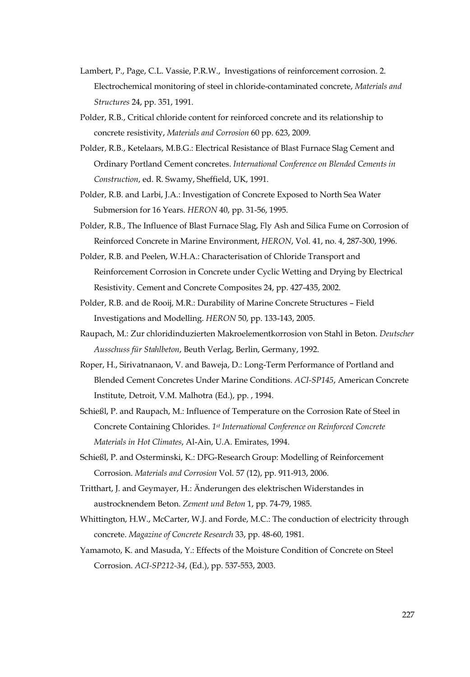- Lambert, P., Page, C.L. Vassie, P.R.W., Investigations of reinforcement corrosion. 2. Electrochemical monitoring of steel in chloride-contaminated concrete, *Materials and Structures* 24, pp. 351, 1991.
- Polder, R.B., Critical chloride content for reinforced concrete and its relationship to concrete resistivity, *Materials and Corrosion* 60 pp. 623, 2009.
- Polder, R.B., Ketelaars, M.B.G.: Electrical Resistance of Blast Furnace Slag Cement and Ordinary Portland Cement concretes. *International Conference on Blended Cements in Construction*, ed. R. Swamy, Sheffield, UK, 1991.
- Polder, R.B. and Larbi, J.A.: Investigation of Concrete Exposed to North Sea Water Submersion for 16 Years. *HERON* 40, pp. 31-56, 1995.
- Polder, R.B., The Influence of Blast Furnace Slag, Fly Ash and Silica Fume on Corrosion of Reinforced Concrete in Marine Environment, *HERON*, Vol. 41, no. 4, 287-300, 1996.
- Polder, R.B. and Peelen, W.H.A.: Characterisation of Chloride Transport and Reinforcement Corrosion in Concrete under Cyclic Wetting and Drying by Electrical Resistivity. Cement and Concrete Composites 24, pp. 427-435, 2002.
- Polder, R.B. and de Rooij, M.R.: Durability of Marine Concrete Structures Field Investigations and Modelling. *HERON* 50, pp. 133-143, 2005.
- Raupach, M.: Zur chloridinduzierten Makroelementkorrosion von Stahl in Beton. *Deutscher Ausschuss für Stahlbeton*, Beuth Verlag, Berlin, Germany, 1992.
- Roper, H., Sirivatnanaon, V. and Baweja, D.: Long-Term Performance of Portland and Blended Cement Concretes Under Marine Conditions. *ACI-SP145*, American Concrete Institute, Detroit, V.M. Malhotra (Ed.), pp. , 1994.
- Schießl, P. and Raupach, M.: Influence of Temperature on the Corrosion Rate of Steel in Concrete Containing Chlorides. *1st International Conference on Reinforced Concrete Materials in Hot Climates*, Al-Ain, U.A. Emirates, 1994.
- Schießl, P. and Osterminski, K.: DFG-Research Group: Modelling of Reinforcement Corrosion. *Materials and Corrosion* Vol. 57 (12), pp. 911-913, 2006.
- Tritthart, J. and Geymayer, H.: Änderungen des elektrischen Widerstandes in austrocknendem Beton. *Zement und Beton* 1, pp. 74-79, 1985.
- Whittington, H.W., McCarter, W.J. and Forde, M.C.: The conduction of electricity through concrete. *Magazine of Concrete Research* 33, pp. 48-60, 1981.
- Yamamoto, K. and Masuda, Y.: Effects of the Moisture Condition of Concrete on Steel Corrosion. *ACI-SP212-34*, (Ed.), pp. 537-553, 2003.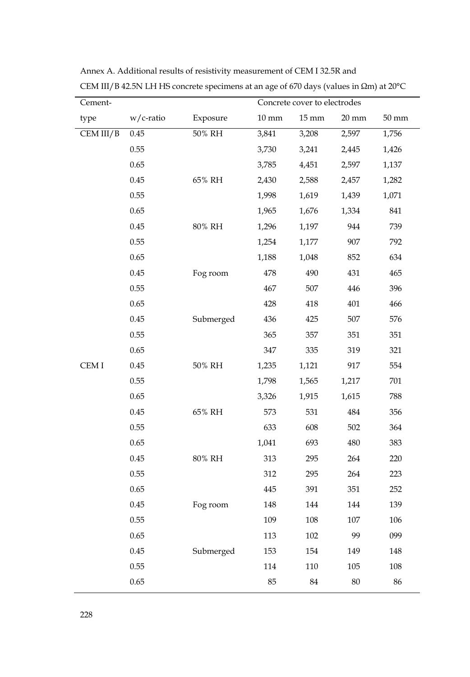| Cement-   |           |           | Concrete cover to electrodes |       |                 |                 |
|-----------|-----------|-----------|------------------------------|-------|-----------------|-----------------|
| type      | w/c-ratio | Exposure  | $10 \text{ mm}$              | 15 mm | $20 \text{ mm}$ | $50 \text{ mm}$ |
| CEM III/B | 0.45      | 50% RH    | 3,841                        | 3,208 | 2,597           | 1,756           |
|           | 0.55      |           | 3,730                        | 3,241 | 2,445           | 1,426           |
|           | 0.65      |           | 3,785                        | 4,451 | 2,597           | 1,137           |
|           | 0.45      | 65% RH    | 2,430                        | 2,588 | 2,457           | 1,282           |
|           | 0.55      |           | 1,998                        | 1,619 | 1,439           | 1,071           |
|           | 0.65      |           | 1,965                        | 1,676 | 1,334           | 841             |
|           | 0.45      | $80\%$ RH | 1,296                        | 1,197 | 944             | 739             |
|           | 0.55      |           | 1,254                        | 1,177 | 907             | 792             |
|           | 0.65      |           | 1,188                        | 1,048 | 852             | 634             |
|           | 0.45      | Fog room  | 478                          | 490   | 431             | 465             |
|           | 0.55      |           | 467                          | 507   | 446             | 396             |
|           | 0.65      |           | 428                          | 418   | 401             | 466             |
|           | 0.45      | Submerged | 436                          | 425   | 507             | 576             |
|           | 0.55      |           | 365                          | 357   | 351             | 351             |
|           | 0.65      |           | 347                          | 335   | 319             | 321             |
| CEM I     | 0.45      | $50\%$ RH | 1,235                        | 1,121 | 917             | 554             |
|           | 0.55      |           | 1,798                        | 1,565 | 1,217           | 701             |
|           | 0.65      |           | 3,326                        | 1,915 | 1,615           | 788             |
|           | 0.45      | 65% RH    | 573                          | 531   | 484             | 356             |
|           | 0.55      |           | 633                          | 608   | 502             | 364             |
|           | 0.65      |           | 1,041                        | 693   | 480             | 383             |
|           | 0.45      | 80% RH    | 313                          | 295   | 264             | 220             |
|           | 0.55      |           | 312                          | 295   | 264             | 223             |
|           | 0.65      |           | 445                          | 391   | 351             | 252             |
|           | 0.45      | Fog room  | 148                          | 144   | 144             | 139             |
|           | 0.55      |           | 109                          | 108   | 107             | 106             |
|           | 0.65      |           | 113                          | 102   | 99              | 099             |
|           | 0.45      | Submerged | 153                          | 154   | 149             | 148             |
|           | 0.55      |           | 114                          | 110   | 105             | 108             |
|           | 0.65      |           | 85                           | 84    | 80              | 86              |

Annex A. Additional results of resistivity measurement of CEM I 32.5R and CEM III/B 42.5N LH HS concrete specimens at an age of 670 days (values in Ωm) at 20°C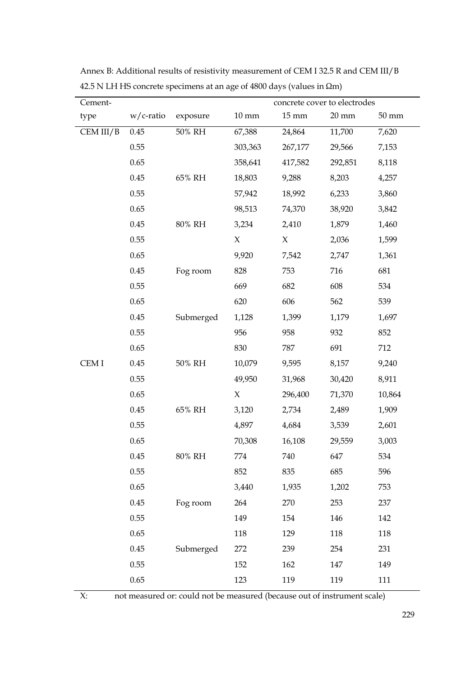| Cement-   |           |           | concrete cover to electrodes |                 |                 |                 |  |
|-----------|-----------|-----------|------------------------------|-----------------|-----------------|-----------------|--|
| type      | w/c-ratio | exposure  | $10 \text{ mm}$              | $15 \text{ mm}$ | $20 \text{ mm}$ | $50 \text{ mm}$ |  |
| CEM III/B | 0.45      | 50% RH    | 67,388                       | 24,864          | 11,700          | 7,620           |  |
|           | 0.55      |           | 303,363                      | 267,177         | 29,566          | 7,153           |  |
|           | 0.65      |           | 358,641                      | 417,582         | 292,851         | 8,118           |  |
|           | 0.45      | 65% RH    | 18,803                       | 9,288           | 8,203           | 4,257           |  |
|           | 0.55      |           | 57,942                       | 18,992          | 6,233           | 3,860           |  |
|           | 0.65      |           | 98,513                       | 74,370          | 38,920          | 3,842           |  |
|           | 0.45      | $80\%$ RH | 3,234                        | 2,410           | 1,879           | 1,460           |  |
|           | 0.55      |           | X                            | X               | 2,036           | 1,599           |  |
|           | 0.65      |           | 9,920                        | 7,542           | 2,747           | 1,361           |  |
|           | 0.45      | Fog room  | 828                          | 753             | 716             | 681             |  |
|           | 0.55      |           | 669                          | 682             | 608             | 534             |  |
|           | 0.65      |           | 620                          | 606             | 562             | 539             |  |
|           | 0.45      | Submerged | 1,128                        | 1,399           | 1,179           | 1,697           |  |
|           | 0.55      |           | 956                          | 958             | 932             | 852             |  |
|           | 0.65      |           | 830                          | 787             | 691             | 712             |  |
| CEM I     | 0.45      | 50% RH    | 10,079                       | 9,595           | 8,157           | 9,240           |  |
|           | 0.55      |           | 49,950                       | 31,968          | 30,420          | 8,911           |  |
|           | 0.65      |           | $\mathsf X$                  | 296,400         | 71,370          | 10,864          |  |
|           | 0.45      | 65% RH    | 3,120                        | 2,734           | 2,489           | 1,909           |  |
|           | 0.55      |           | 4,897                        | 4,684           | 3,539           | 2,601           |  |
|           | 0.65      |           | 70,308                       | 16,108          | 29,559          | 3,003           |  |
|           | 0.45      | 80% RH    | 774                          | 740             | 647             | 534             |  |
|           | 0.55      |           | 852                          | 835             | 685             | 596             |  |
|           | 0.65      |           | 3,440                        | 1,935           | 1,202           | 753             |  |
|           | 0.45      | Fog room  | 264                          | 270             | 253             | 237             |  |
|           | 0.55      |           | 149                          | 154             | 146             | 142             |  |
|           | 0.65      |           | 118                          | 129             | 118             | 118             |  |
|           | 0.45      | Submerged | 272                          | 239             | 254             | 231             |  |
|           | 0.55      |           | 152                          | 162             | 147             | 149             |  |
|           | 0.65      |           | 123                          | 119             | 119             | 111             |  |

Annex B: Additional results of resistivity measurement of CEM I 32.5 R and CEM III/B 42.5 N LH HS concrete specimens at an age of 4800 days (values in Ωm)

X: not measured or: could not be measured (because out of instrument scale)